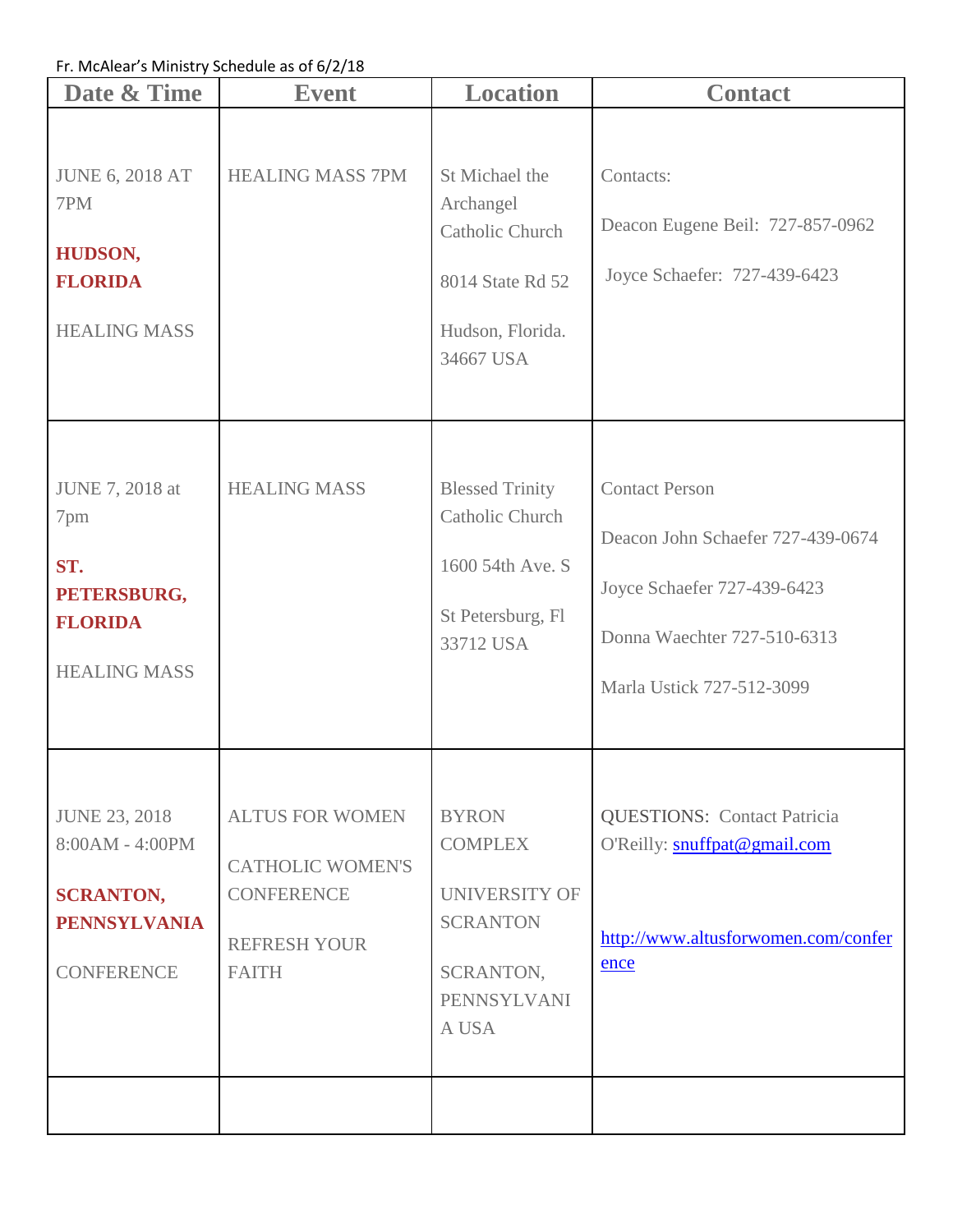Fr. McAlear's Ministry Schedule as of 6/2/18

| Date & Time                                                                                             | <b>Event</b>                                                                                                  | <b>Location</b>                                                                                            | <b>Contact</b>                                                                                                                                        |
|---------------------------------------------------------------------------------------------------------|---------------------------------------------------------------------------------------------------------------|------------------------------------------------------------------------------------------------------------|-------------------------------------------------------------------------------------------------------------------------------------------------------|
| <b>JUNE 6, 2018 AT</b><br>7PM<br>HUDSON,<br><b>FLORIDA</b><br><b>HEALING MASS</b>                       | <b>HEALING MASS 7PM</b>                                                                                       | St Michael the<br>Archangel<br><b>Catholic Church</b><br>8014 State Rd 52<br>Hudson, Florida.<br>34667 USA | Contacts:<br>Deacon Eugene Beil: 727-857-0962<br>Joyce Schaefer: 727-439-6423                                                                         |
| JUNE 7, 2018 at<br>7pm<br>ST.<br>PETERSBURG,<br><b>FLORIDA</b><br><b>HEALING MASS</b>                   | <b>HEALING MASS</b>                                                                                           | <b>Blessed Trinity</b><br><b>Catholic Church</b><br>1600 54th Ave. S<br>St Petersburg, Fl<br>33712 USA     | <b>Contact Person</b><br>Deacon John Schaefer 727-439-0674<br>Joyce Schaefer 727-439-6423<br>Donna Waechter 727-510-6313<br>Marla Ustick 727-512-3099 |
| <b>JUNE 23, 2018</b><br>8:00AM - 4:00PM<br><b>SCRANTON,</b><br><b>PENNSYLVANIA</b><br><b>CONFERENCE</b> | <b>ALTUS FOR WOMEN</b><br><b>CATHOLIC WOMEN'S</b><br><b>CONFERENCE</b><br><b>REFRESH YOUR</b><br><b>FAITH</b> | <b>BYRON</b><br><b>COMPLEX</b><br>UNIVERSITY OF<br><b>SCRANTON</b><br>SCRANTON,<br>PENNSYLVANI<br>A USA    | <b>QUESTIONS: Contact Patricia</b><br>O'Reilly: snuffpat@gmail.com<br>http://www.altusforwomen.com/confer<br>ence                                     |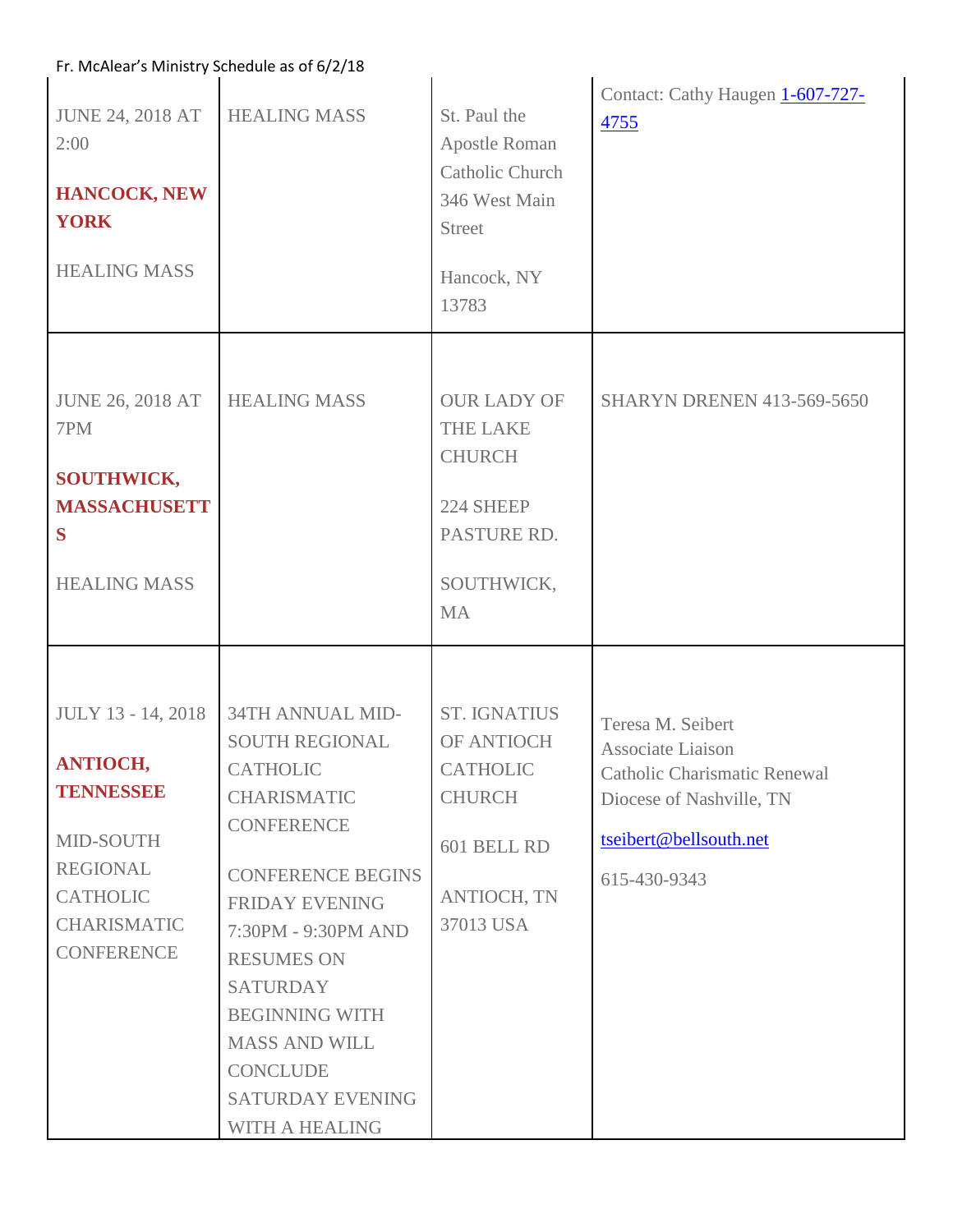| Fr. McAlear's Ministry Schedule as of 6/2/18                                                                                                     |                                                                                                                                                                                                                                                                                                                                |                                                                                                                         |                                                                                                                                                     |  |
|--------------------------------------------------------------------------------------------------------------------------------------------------|--------------------------------------------------------------------------------------------------------------------------------------------------------------------------------------------------------------------------------------------------------------------------------------------------------------------------------|-------------------------------------------------------------------------------------------------------------------------|-----------------------------------------------------------------------------------------------------------------------------------------------------|--|
| <b>JUNE 24, 2018 AT</b><br>2:00<br><b>HANCOCK, NEW</b><br><b>YORK</b><br><b>HEALING MASS</b>                                                     | <b>HEALING MASS</b>                                                                                                                                                                                                                                                                                                            | St. Paul the<br>Apostle Roman<br>Catholic Church<br>346 West Main<br><b>Street</b><br>Hancock, NY<br>13783              | Contact: Cathy Haugen 1-607-727-<br>4755                                                                                                            |  |
| <b>JUNE 26, 2018 AT</b><br>7PM<br><b>SOUTHWICK,</b><br><b>MASSACHUSETT</b><br>S<br><b>HEALING MASS</b>                                           | <b>HEALING MASS</b>                                                                                                                                                                                                                                                                                                            | <b>OUR LADY OF</b><br><b>THE LAKE</b><br><b>CHURCH</b><br>224 SHEEP<br>PASTURE RD.<br>SOUTHWICK,<br><b>MA</b>           | <b>SHARYN DRENEN 413-569-5650</b>                                                                                                                   |  |
| JULY 13 - 14, 2018<br><b>ANTIOCH,</b><br>TENNESSEE<br>MID-SOUTH<br><b>REGIONAL</b><br><b>CATHOLIC</b><br><b>CHARISMATIC</b><br><b>CONFERENCE</b> | 34TH ANNUAL MID-<br><b>SOUTH REGIONAL</b><br><b>CATHOLIC</b><br><b>CHARISMATIC</b><br>CONFERENCE<br><b>CONFERENCE BEGINS</b><br><b>FRIDAY EVENING</b><br>7:30PM - 9:30PM AND<br><b>RESUMES ON</b><br><b>SATURDAY</b><br><b>BEGINNING WITH</b><br><b>MASS AND WILL</b><br><b>CONCLUDE</b><br>SATURDAY EVENING<br>WITH A HEALING | <b>ST. IGNATIUS</b><br>OF ANTIOCH<br><b>CATHOLIC</b><br><b>CHURCH</b><br>601 BELL RD<br><b>ANTIOCH, TN</b><br>37013 USA | Teresa M. Seibert<br>Associate Liaison<br><b>Catholic Charismatic Renewal</b><br>Diocese of Nashville, TN<br>tseibert@bellsouth.net<br>615-430-9343 |  |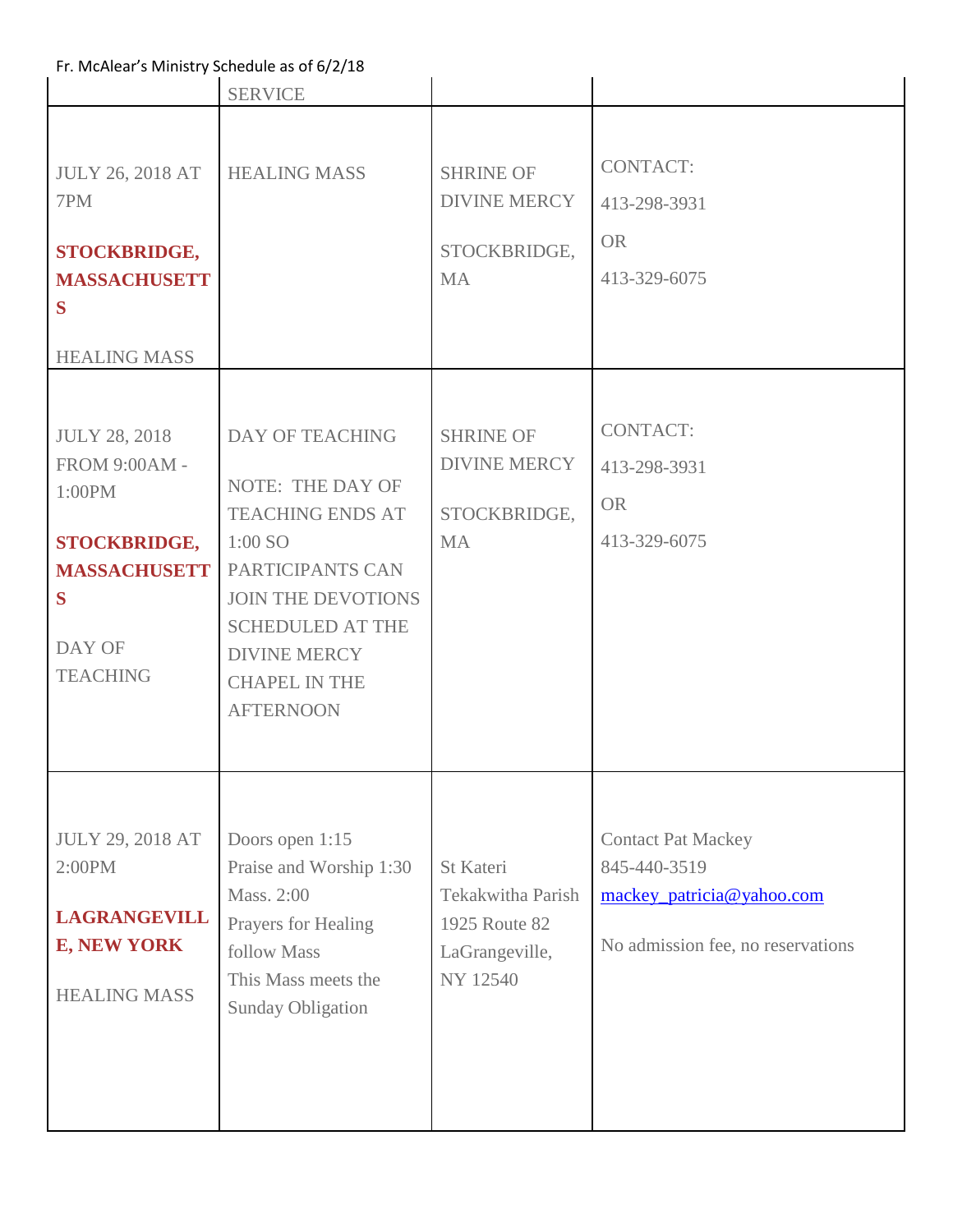| Fr. McAlear's Ministry Schedule as of 6/2/18                                                                                                                                                                                                |                                                                                                                                                                                                                                                                 |                                                                                                                                              |                                                                                                                              |  |
|---------------------------------------------------------------------------------------------------------------------------------------------------------------------------------------------------------------------------------------------|-----------------------------------------------------------------------------------------------------------------------------------------------------------------------------------------------------------------------------------------------------------------|----------------------------------------------------------------------------------------------------------------------------------------------|------------------------------------------------------------------------------------------------------------------------------|--|
|                                                                                                                                                                                                                                             | <b>SERVICE</b>                                                                                                                                                                                                                                                  |                                                                                                                                              |                                                                                                                              |  |
| <b>JULY 26, 2018 AT</b><br>7PM<br><b>STOCKBRIDGE,</b><br><b>MASSACHUSETT</b><br>S<br><b>HEALING MASS</b><br><b>JULY 28, 2018</b><br>FROM 9:00AM -<br>1:00PM<br><b>STOCKBRIDGE,</b><br><b>MASSACHUSETT</b><br>S<br>DAY OF<br><b>TEACHING</b> | <b>HEALING MASS</b><br><b>DAY OF TEACHING</b><br><b>NOTE: THE DAY OF</b><br><b>TEACHING ENDS AT</b><br>$1:00$ SO<br>PARTICIPANTS CAN<br><b>JOIN THE DEVOTIONS</b><br><b>SCHEDULED AT THE</b><br><b>DIVINE MERCY</b><br><b>CHAPEL IN THE</b><br><b>AFTERNOON</b> | <b>SHRINE OF</b><br><b>DIVINE MERCY</b><br>STOCKBRIDGE,<br><b>MA</b><br><b>SHRINE OF</b><br><b>DIVINE MERCY</b><br>STOCKBRIDGE,<br><b>MA</b> | <b>CONTACT:</b><br>413-298-3931<br><b>OR</b><br>413-329-6075<br><b>CONTACT:</b><br>413-298-3931<br><b>OR</b><br>413-329-6075 |  |
| <b>JULY 29, 2018 AT</b><br>2:00PM<br><b>LAGRANGEVILL</b><br><b>E, NEW YORK</b><br><b>HEALING MASS</b>                                                                                                                                       | Doors open 1:15<br>Praise and Worship 1:30<br>Mass. 2:00<br>Prayers for Healing<br>follow Mass<br>This Mass meets the<br><b>Sunday Obligation</b>                                                                                                               | <b>St Kateri</b><br><b>Tekakwitha Parish</b><br>1925 Route 82<br>LaGrangeville,<br>NY 12540                                                  | <b>Contact Pat Mackey</b><br>845-440-3519<br>mackey_patricia@yahoo.com<br>No admission fee, no reservations                  |  |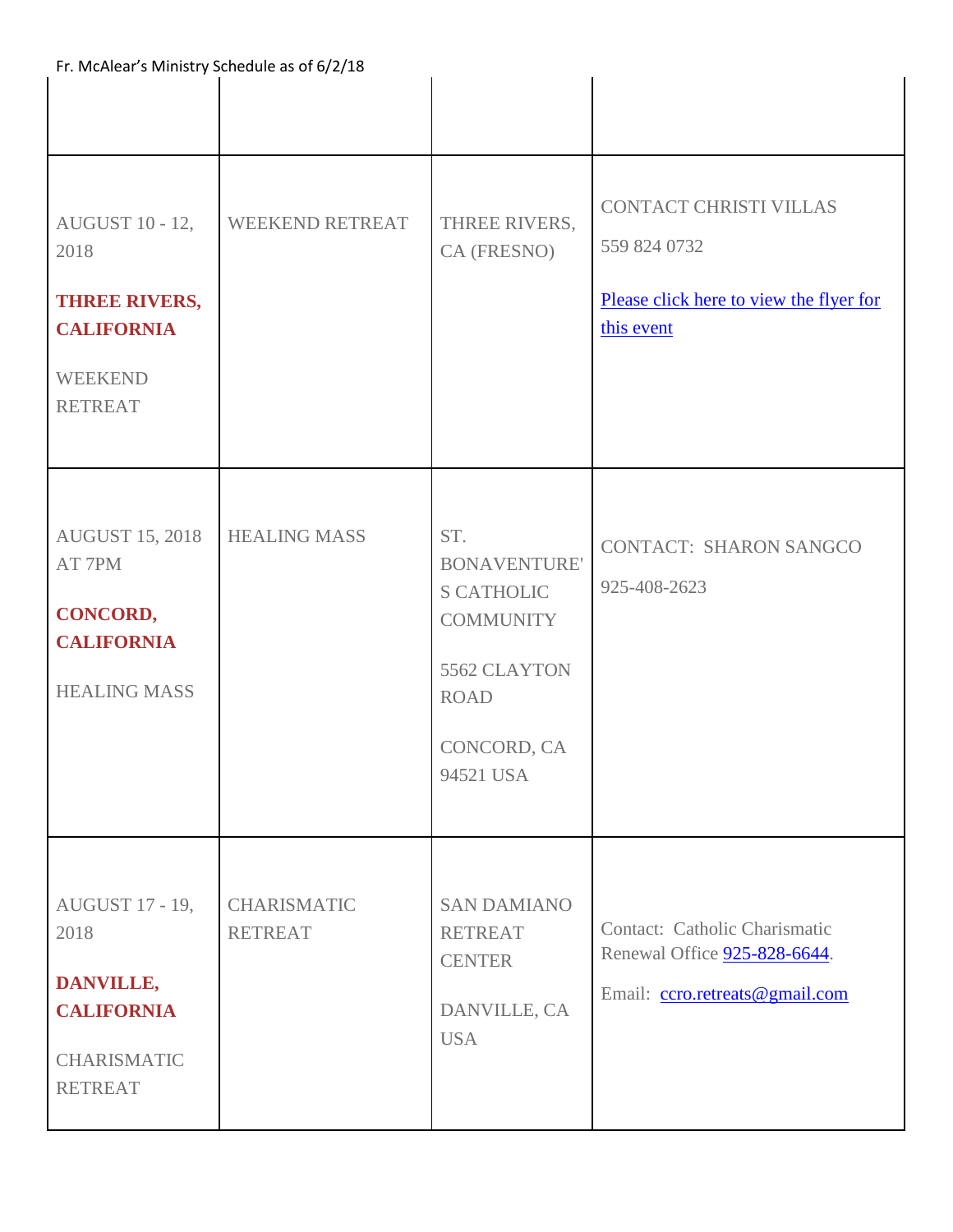| Fr. McAlear's Ministry Schedule as of 6/2/18                                                                    |                                      |                                                                                                                                |                                                                                                 |  |
|-----------------------------------------------------------------------------------------------------------------|--------------------------------------|--------------------------------------------------------------------------------------------------------------------------------|-------------------------------------------------------------------------------------------------|--|
|                                                                                                                 |                                      |                                                                                                                                |                                                                                                 |  |
| <b>AUGUST 10 - 12,</b><br>2018<br><b>THREE RIVERS,</b><br><b>CALIFORNIA</b><br><b>WEEKEND</b><br><b>RETREAT</b> | <b>WEEKEND RETREAT</b>               | THREE RIVERS,<br>CA (FRESNO)                                                                                                   | CONTACT CHRISTI VILLAS<br>559 824 0732<br>Please click here to view the flyer for<br>this event |  |
| <b>AUGUST 15, 2018</b><br>AT 7PM<br>CONCORD,<br><b>CALIFORNIA</b><br><b>HEALING MASS</b>                        | <b>HEALING MASS</b>                  | ST.<br><b>BONAVENTURE'</b><br><b>S CATHOLIC</b><br><b>COMMUNITY</b><br>5562 CLAYTON<br><b>ROAD</b><br>CONCORD, CA<br>94521 USA | <b>CONTACT: SHARON SANGCO</b><br>925-408-2623                                                   |  |
| <b>AUGUST 17 - 19,</b><br>2018<br>DANVILLE,<br><b>CALIFORNIA</b><br><b>CHARISMATIC</b><br><b>RETREAT</b>        | <b>CHARISMATIC</b><br><b>RETREAT</b> | <b>SAN DAMIANO</b><br><b>RETREAT</b><br><b>CENTER</b><br>DANVILLE, CA<br><b>USA</b>                                            | Contact: Catholic Charismatic<br>Renewal Office 925-828-6644.<br>Email: ccro.retreats@gmail.com |  |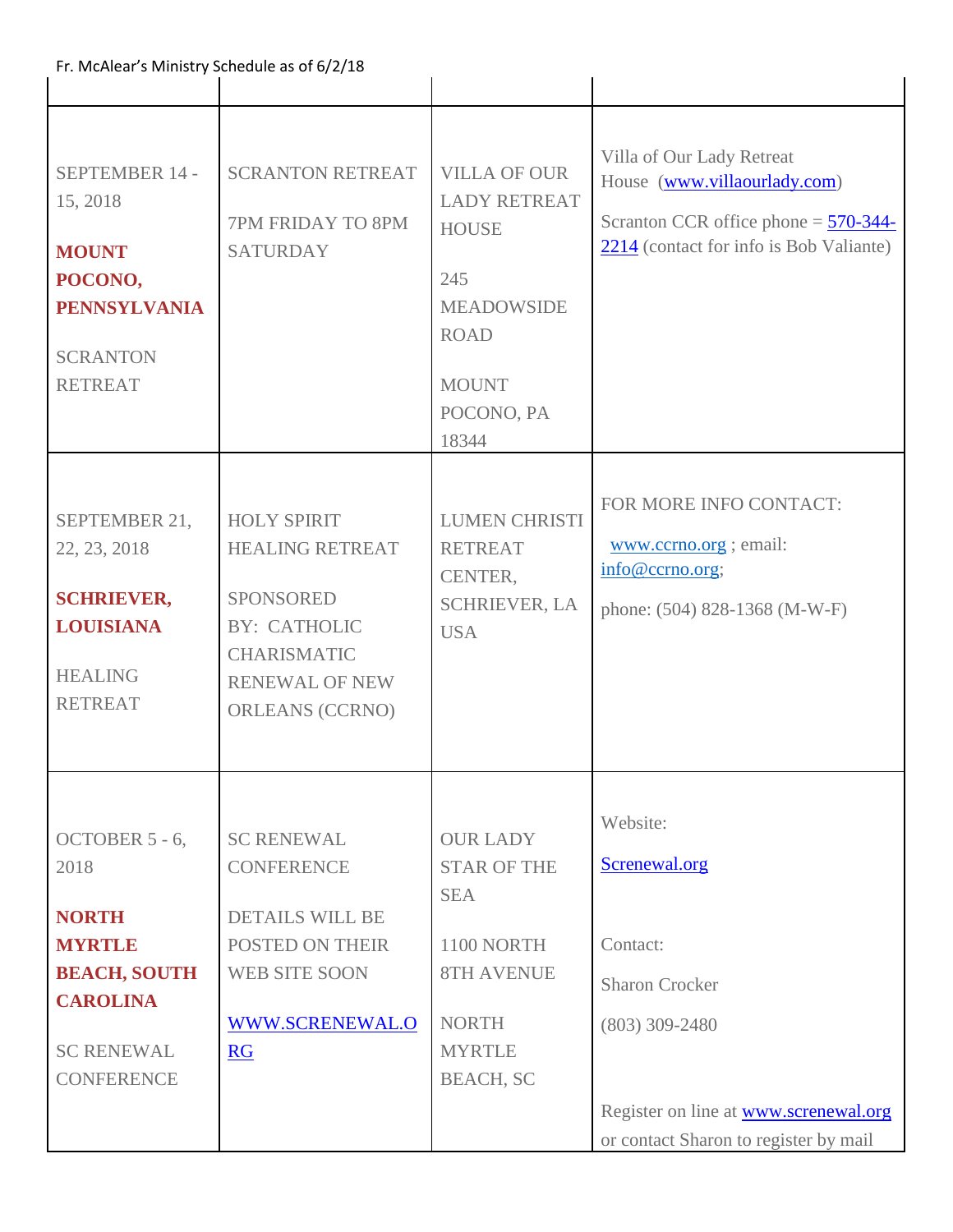| Fr. McAlear's Ministry Schedule as of 6/2/18                                                                                                |                                                                                                                                                                  |                                                                                                                                              |                                                                                                                                                                             |
|---------------------------------------------------------------------------------------------------------------------------------------------|------------------------------------------------------------------------------------------------------------------------------------------------------------------|----------------------------------------------------------------------------------------------------------------------------------------------|-----------------------------------------------------------------------------------------------------------------------------------------------------------------------------|
| SEPTEMBER 14 -<br>15, 2018<br><b>MOUNT</b><br>POCONO,<br><b>PENNSYLVANIA</b><br><b>SCRANTON</b><br><b>RETREAT</b>                           | <b>SCRANTON RETREAT</b><br>7PM FRIDAY TO 8PM<br><b>SATURDAY</b>                                                                                                  | <b>VILLA OF OUR</b><br><b>LADY RETREAT</b><br><b>HOUSE</b><br>245<br><b>MEADOWSIDE</b><br><b>ROAD</b><br><b>MOUNT</b><br>POCONO, PA<br>18344 | Villa of Our Lady Retreat<br>House (www.villaourlady.com)<br>Scranton CCR office phone $=$ $\frac{570-344}{ }$<br>2214 (contact for info is Bob Valiante)                   |
| SEPTEMBER 21,<br>22, 23, 2018<br><b>SCHRIEVER,</b><br><b>LOUISIANA</b><br><b>HEALING</b><br><b>RETREAT</b>                                  | <b>HOLY SPIRIT</b><br><b>HEALING RETREAT</b><br><b>SPONSORED</b><br><b>BY: CATHOLIC</b><br><b>CHARISMATIC</b><br><b>RENEWAL OF NEW</b><br><b>ORLEANS (CCRNO)</b> | <b>LUMEN CHRISTI</b><br><b>RETREAT</b><br>CENTER,<br><b>SCHRIEVER, LA</b><br><b>USA</b>                                                      | FOR MORE INFO CONTACT:<br>www.ccrno.org ; email:<br>info@ccrno.org;<br>phone: (504) 828-1368 (M-W-F)                                                                        |
| OCTOBER 5 - 6,<br>2018<br><b>NORTH</b><br><b>MYRTLE</b><br><b>BEACH, SOUTH</b><br><b>CAROLINA</b><br><b>SC RENEWAL</b><br><b>CONFERENCE</b> | <b>SC RENEWAL</b><br><b>CONFERENCE</b><br><b>DETAILS WILL BE</b><br>POSTED ON THEIR<br><b>WEB SITE SOON</b><br>WWW.SCRENEWAL.O<br><b>RG</b>                      | <b>OUR LADY</b><br><b>STAR OF THE</b><br><b>SEA</b><br>1100 NORTH<br><b>8TH AVENUE</b><br><b>NORTH</b><br><b>MYRTLE</b><br><b>BEACH, SC</b>  | Website:<br>Screnewal.org<br>Contact:<br><b>Sharon Crocker</b><br>$(803)$ 309-2480<br>Register on line at <b>www.screnewal.org</b><br>or contact Sharon to register by mail |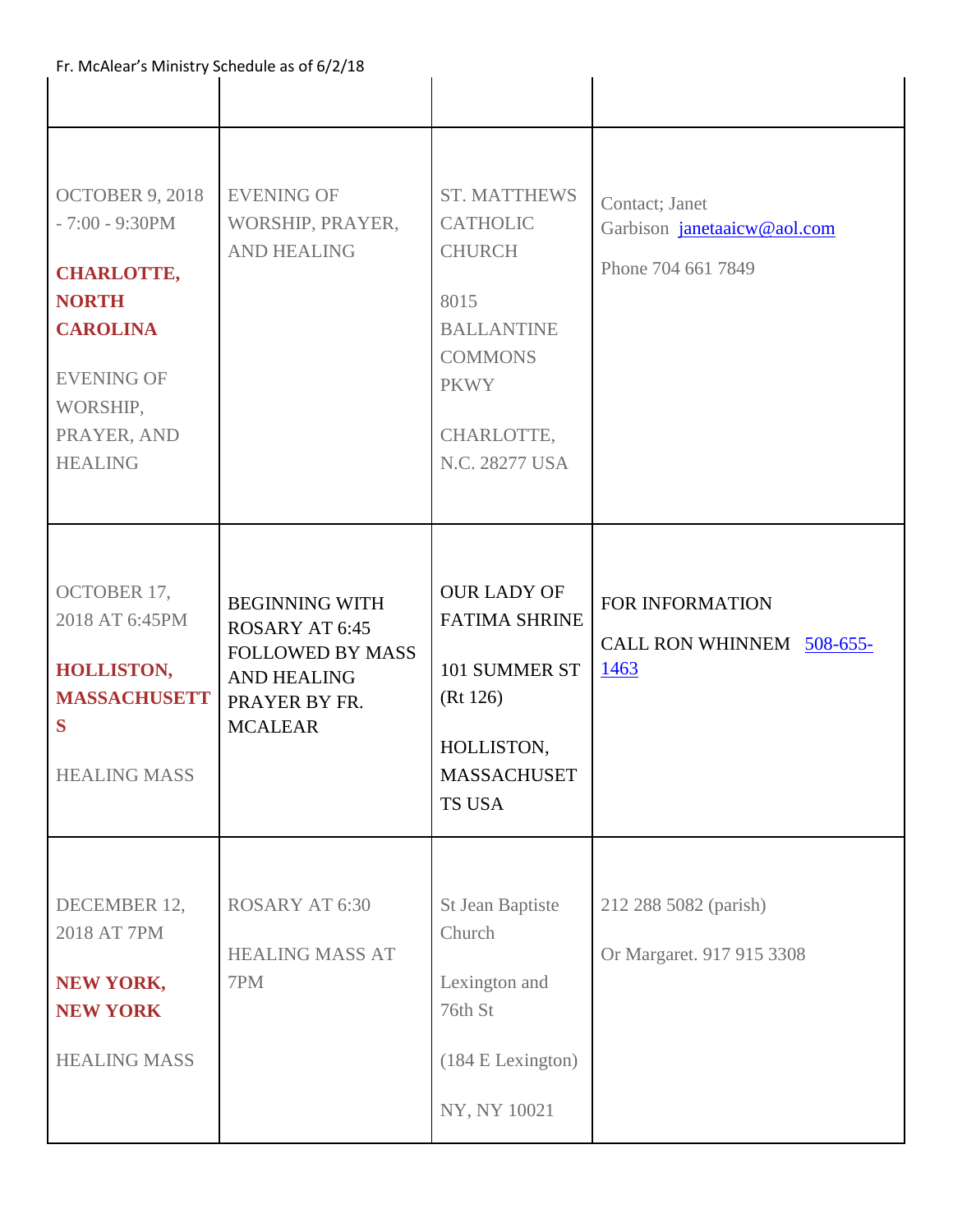| Fr. McAlear's Ministry Schedule as of 6/2/18                                                                                                                   |                                                                                                                                    |                                                                                                                                                       |                                                                     |
|----------------------------------------------------------------------------------------------------------------------------------------------------------------|------------------------------------------------------------------------------------------------------------------------------------|-------------------------------------------------------------------------------------------------------------------------------------------------------|---------------------------------------------------------------------|
|                                                                                                                                                                |                                                                                                                                    |                                                                                                                                                       |                                                                     |
| OCTOBER 9, 2018<br>$-7:00 - 9:30 PM$<br><b>CHARLOTTE,</b><br><b>NORTH</b><br><b>CAROLINA</b><br><b>EVENING OF</b><br>WORSHIP,<br>PRAYER, AND<br><b>HEALING</b> | <b>EVENING OF</b><br>WORSHIP, PRAYER,<br><b>AND HEALING</b>                                                                        | <b>ST. MATTHEWS</b><br><b>CATHOLIC</b><br><b>CHURCH</b><br>8015<br><b>BALLANTINE</b><br><b>COMMONS</b><br><b>PKWY</b><br>CHARLOTTE,<br>N.C. 28277 USA | Contact; Janet<br>Garbison janetaaicw@aol.com<br>Phone 704 661 7849 |
| <b>OCTOBER 17,</b><br>2018 AT 6:45PM<br><b>HOLLISTON,</b><br><b>MASSACHUSETT</b><br>S<br><b>HEALING MASS</b>                                                   | <b>BEGINNING WITH</b><br><b>ROSARY AT 6:45</b><br><b>FOLLOWED BY MASS</b><br><b>AND HEALING</b><br>PRAYER BY FR.<br><b>MCALEAR</b> | <b>OUR LADY OF</b><br><b>FATIMA SHRINE</b><br>101 SUMMER ST<br>(Rt 126)<br>HOLLISTON,<br><b>MASSACHUSET</b><br><b>TS USA</b>                          | FOR INFORMATION<br>CALL RON WHINNEM 508-655-<br>1463                |
| DECEMBER 12,<br>2018 AT 7PM<br><b>NEW YORK,</b><br><b>NEW YORK</b><br><b>HEALING MASS</b>                                                                      | <b>ROSARY AT 6:30</b><br><b>HEALING MASS AT</b><br>7PM                                                                             | St Jean Baptiste<br>Church<br>Lexington and<br>76th St<br>(184 E Lexington)<br>NY, NY 10021                                                           | 212 288 5082 (parish)<br>Or Margaret. 917 915 3308                  |